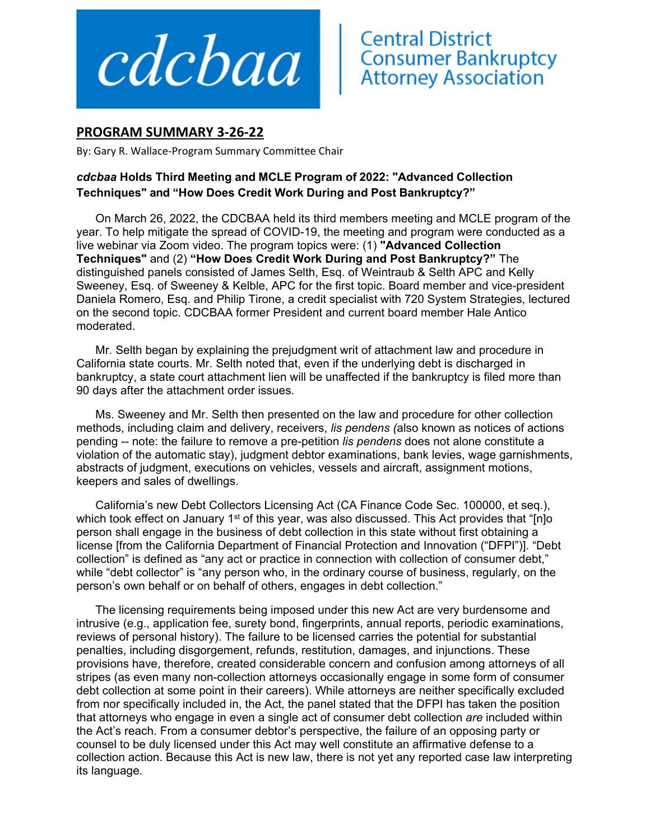

## **Central District<br>Consumer Bankruptcy<br>Attorney Association**

## **PROGRAM SUMMARY 3‐26‐22**

By: Gary R. Wallace‐Program Summary Committee Chair

## *cdcbaa* **Holds Third Meeting and MCLE Program of 2022: "Advanced Collection Techniques" and "How Does Credit Work During and Post Bankruptcy?"**

On March 26, 2022, the CDCBAA held its third members meeting and MCLE program of the year. To help mitigate the spread of COVID-19, the meeting and program were conducted as a live webinar via Zoom video. The program topics were: (1) **"Advanced Collection Techniques"** and (2) **"How Does Credit Work During and Post Bankruptcy?"** The distinguished panels consisted of James Selth, Esq. of Weintraub & Selth APC and Kelly Sweeney, Esq. of Sweeney & Kelble, APC for the first topic. Board member and vice-president Daniela Romero, Esq. and Philip Tirone, a credit specialist with 720 System Strategies, lectured on the second topic. CDCBAA former President and current board member Hale Antico moderated.

Mr. Selth began by explaining the prejudgment writ of attachment law and procedure in California state courts. Mr. Selth noted that, even if the underlying debt is discharged in bankruptcy, a state court attachment lien will be unaffected if the bankruptcy is filed more than 90 days after the attachment order issues.

Ms. Sweeney and Mr. Selth then presented on the law and procedure for other collection methods, including claim and delivery, receivers, *lis pendens (*also known as notices of actions pending -- note: the failure to remove a pre-petition *lis pendens* does not alone constitute a violation of the automatic stay), judgment debtor examinations, bank levies, wage garnishments, abstracts of judgment, executions on vehicles, vessels and aircraft, assignment motions, keepers and sales of dwellings.

California's new Debt Collectors Licensing Act (CA Finance Code Sec. 100000, et seq.), which took effect on January 1<sup>st</sup> of this year, was also discussed. This Act provides that "[n]o person shall engage in the business of debt collection in this state without first obtaining a license [from the California Department of Financial Protection and Innovation ("DFPI")]. "Debt collection" is defined as "any act or practice in connection with collection of consumer debt," while "debt collector" is "any person who, in the ordinary course of business, regularly, on the person's own behalf or on behalf of others, engages in debt collection."

The licensing requirements being imposed under this new Act are very burdensome and intrusive (e.g., application fee, surety bond, fingerprints, annual reports, periodic examinations, reviews of personal history). The failure to be licensed carries the potential for substantial penalties, including disgorgement, refunds, restitution, damages, and injunctions. These provisions have, therefore, created considerable concern and confusion among attorneys of all stripes (as even many non-collection attorneys occasionally engage in some form of consumer debt collection at some point in their careers). While attorneys are neither specifically excluded from nor specifically included in, the Act, the panel stated that the DFPI has taken the position that attorneys who engage in even a single act of consumer debt collection *are* included within the Act's reach. From a consumer debtor's perspective, the failure of an opposing party or counsel to be duly licensed under this Act may well constitute an affirmative defense to a collection action. Because this Act is new law, there is not yet any reported case law interpreting its language.